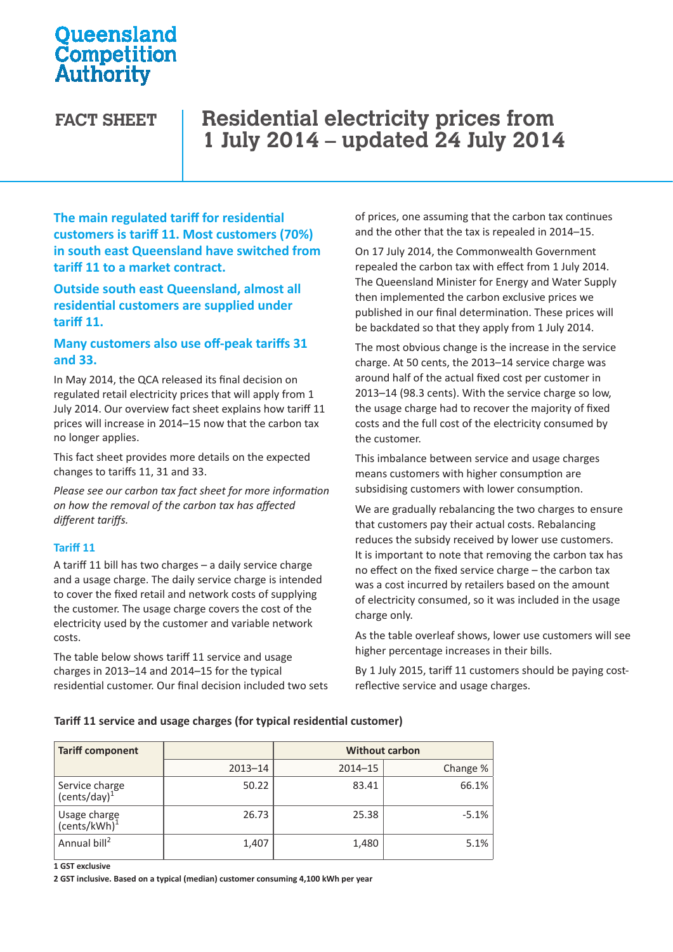## **Oueensland** Competition Authority

# **FACT SHEET Residential electricity prices from 1 July 2014 – updated 24 July 2014**

**The main regulated tariff for residential customers is tariff 11. Most customers (70%) in south east Queensland have switched from tariff 11 to a market contract.** 

**Outside south east Queensland, almost all residential customers are supplied under tariff 11.** 

### **Many customers also use off-peak tariffs 31 and 33.**

In May 2014, the QCA released its final decision on regulated retail electricity prices that will apply from 1 July 2014. Our overview fact sheet explains how tariff 11 prices will increase in 2014–15 now that the carbon tax no longer applies.

This fact sheet provides more details on the expected changes to tariffs 11, 31 and 33.

*Please see our carbon tax fact sheet for more information on how the removal of the carbon tax has affected different tariffs.*

#### **Tariff 11**

A tariff 11 bill has two charges – a daily service charge and a usage charge. The daily service charge is intended to cover the fixed retail and network costs of supplying the customer. The usage charge covers the cost of the electricity used by the customer and variable network costs.

The table below shows tariff 11 service and usage charges in 2013–14 and 2014–15 for the typical residential customer. Our final decision included two sets of prices, one assuming that the carbon tax continues and the other that the tax is repealed in 2014–15.

On 17 July 2014, the Commonwealth Government repealed the carbon tax with effect from 1 July 2014. The Queensland Minister for Energy and Water Supply then implemented the carbon exclusive prices we published in our final determination. These prices will be backdated so that they apply from 1 July 2014.

The most obvious change is the increase in the service charge. At 50 cents, the 2013–14 service charge was around half of the actual fixed cost per customer in 2013–14 (98.3 cents). With the service charge so low, the usage charge had to recover the majority of fixed costs and the full cost of the electricity consumed by the customer.

This imbalance between service and usage charges means customers with higher consumption are subsidising customers with lower consumption.

We are gradually rebalancing the two charges to ensure that customers pay their actual costs. Rebalancing reduces the subsidy received by lower use customers. It is important to note that removing the carbon tax has no effect on the fixed service charge – the carbon tax was a cost incurred by retailers based on the amount of electricity consumed, so it was included in the usage charge only.

As the table overleaf shows, lower use customers will see higher percentage increases in their bills.

By 1 July 2015, tariff 11 customers should be paying costreflective service and usage charges.

#### **Tariff 11 service and usage charges (for typical residential customer)**

| <b>Tariff component</b>                    |             | <b>Without carbon</b> |          |  |
|--------------------------------------------|-------------|-----------------------|----------|--|
|                                            | $2013 - 14$ | $2014 - 15$           | Change % |  |
| Service charge<br>(cents/day) <sup>1</sup> | 50.22       | 83.41                 | 66.1%    |  |
| Usage charge<br>(cents/kWh) <sup>1</sup>   | 26.73       | 25.38                 | $-5.1%$  |  |
| Annual bill <sup>2</sup>                   | 1,407       | 1,480                 | 5.1%     |  |

**1 GST exclusive**

**2 GST inclusive. Based on a typical (median) customer consuming 4,100 kWh per year**